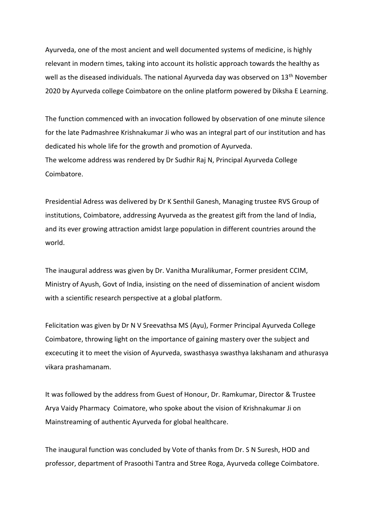Ayurveda, one of the most ancient and well documented systems of medicine, is highly relevant in modern times, taking into account its holistic approach towards the healthy as well as the diseased individuals. The national Ayurveda day was observed on 13<sup>th</sup> November 2020 by Ayurveda college Coimbatore on the online platform powered by Diksha E Learning.

The function commenced with an invocation followed by observation of one minute silence for the late Padmashree Krishnakumar Ji who was an integral part of our institution and has dedicated his whole life for the growth and promotion of Ayurveda. The welcome address was rendered by Dr Sudhir Raj N, Principal Ayurveda College Coimbatore.

Presidential Adress was delivered by Dr K Senthil Ganesh, Managing trustee RVS Group of institutions, Coimbatore, addressing Ayurveda as the greatest gift from the land of India, and its ever growing attraction amidst large population in different countries around the world.

The inaugural address was given by Dr. Vanitha Muralikumar, Former president CCIM, Ministry of Ayush, Govt of India, insisting on the need of dissemination of ancient wisdom with a scientific research perspective at a global platform.

Felicitation was given by Dr N V Sreevathsa MS (Ayu), Former Principal Ayurveda College Coimbatore, throwing light on the importance of gaining mastery over the subject and excecuting it to meet the vision of Ayurveda, swasthasya swasthya lakshanam and athurasya vikara prashamanam.

It was followed by the address from Guest of Honour, Dr. Ramkumar, Director & Trustee Arya Vaidy Pharmacy Coimatore, who spoke about the vision of Krishnakumar Ji on Mainstreaming of authentic Ayurveda for global healthcare.

The inaugural function was concluded by Vote of thanks from Dr. S N Suresh, HOD and professor, department of Prasoothi Tantra and Stree Roga, Ayurveda college Coimbatore.